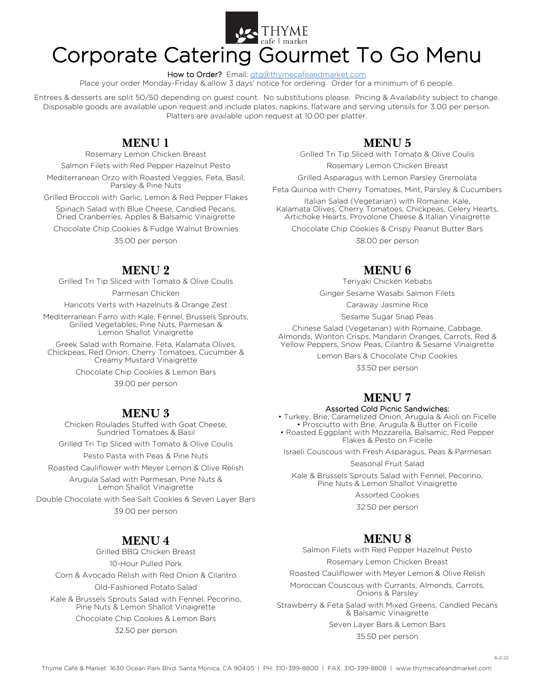

## Corporate Catering Gourmet To Go Menu

How to Order? Email: [gtg@thymecafeandmarket.com](mailto:gtg@thymecafeandmarket.com)

Place your order Monday-Friday & allow 3 days' notice for ordering. Order for a minimum of 6 people.

Entrees & desserts are split 50/50 depending on guest count. No substitutions please. Pricing & Availability subject to change. Disposable goods are available upon request and include plates, napkins, flatware and serving utensils for 3.00 per person. Platters are available upon request at 10.00 per platter.

#### **MENU1**

Rosemary Lemon Chicken Breast

Salmon Filets with Red Pepper Hazelnut Pesto

Mediterranean Orzo with Roasted Veggies, Feta, Basil, Parsley & Pine Nuts

Grilled Broccoli with Garlic, Lemon & Red Pepper Flakes

Spinach Salad with Blue Cheese, Candied Pecans, Dried Cranberries, Apples & Balsamic Vinaigrette

Chocolate Chip Cookies & Fudge Walnut Brownies 35.00 per person

#### **MENU2**

Grilled Tri Tip Sliced with Tomato & Olive Coulis

Parmesan Chicken

Haricots Verts with Hazelnuts & Orange Zest

Mediterranean Farro with Kale, Fennel, Brussels Sprouts, Grilled Vegetables, Pine Nuts, Parmesan & Lemon Shallot Vinaigrette

Greek Salad with Romaine, Feta, Kalamata Olives, Chickpeas, Red Onion, Cherry Tomatoes, Cucumber & Creamy Mustard Vinaigrette

Chocolate Chip Cookies & Lemon Bars

39.00 per person

#### **MENU3**

Chicken Roulades Stuffed with Goat Cheese, Sundried Tomatoes & Basil

Grilled Tri Tip Sliced with Tomato & Olive Coulis

Pesto Pasta with Peas & Pine Nuts Roasted Cauliflower with Meyer Lemon & Olive Relish

Arugula Salad with Parmesan, Pine Nuts &

Lemon Shallot Vinaigrette

Double Chocolate with Sea Salt Cookies & Seven Layer Bars 39.00 per person

#### **MENU 4**

Grilled BBQ Chicken Breast 10-Hour Pulled Pork Corn & Avocado Relish with Red Onion & Cilantro Old-Fashioned Potato Salad Kale & Brussels Sprouts Salad with Fennel, Pecorino, Pine Nuts & Lemon Shallot Vinaigrette Chocolate Chip Cookies & Lemon Bars

32.50 per person

#### **MENU5**

Grilled Tri Tip Sliced with Tomato & Olive Coulis

Rosemary Lemon Chicken Breast

Grilled Asparagus with Lemon Parsley Gremolata

Feta Quinoa with Cherry Tomatoes, Mint, Parsley & Cucumbers

Italian Salad (Vegetarian) with Romaine, Kale, Kalamata Olives, Cherry Tomatoes, Chickpeas, Celery Hearts, Artichoke Hearts, Provolone Cheese & Italian Vinaigrette

Chocolate Chip Cookies & Crispy Peanut Butter Bars

38.00 per person

#### **MENU<sub>6</sub>**

Teriyaki Chicken Kebabs

Ginger Sesame Wasabi Salmon Filets

Caraway Jasmine Rice

Sesame Sugar Snap Peas

Chinese Salad (Vegetarian) with Romaine, Cabbage, Almonds, Wonton Crisps, Mandarin Oranges, Carrots, Red & Yellow Peppers, Snow Peas, Cilantro & Sesame Vinaigrette

Lemon Bars & Chocolate Chip Cookies

33.50 per person

### **MENU7**

#### Assorted Cold Picnic Sandwiches:

• Turkey, Brie, Caramelized Onion, Arugula & Aioli on Ficelle • Prosciutto with Brie, Arugula & Butter on Ficelle

• Roasted Eggplant with Mozzarella, Balsamic, Red Pepper Flakes & Pesto on Ficelle

Israeli Couscous with Fresh Asparagus, Peas & Parmesan

Seasonal Fruit Salad

Kale & Brussels Sprouts Salad with Fennel, Pecorino, Pine Nuts & Lemon Shallot Vinaigrette

Assorted Cookies

32.50 per person

#### **MENU 8**

Salmon Filets with Red Pepper Hazelnut Pesto

Rosemary Lemon Chicken Breast

Roasted Cauliflower with Meyer Lemon & Olive Relish

Moroccan Couscous with Currants, Almonds, Carrots, Onions & Parsley

Strawberry & Feta Salad with Mixed Greens, Candied Pecans & Balsamic Vinaigrette

Seven Layer Bars & Lemon Bars

35.50 per person